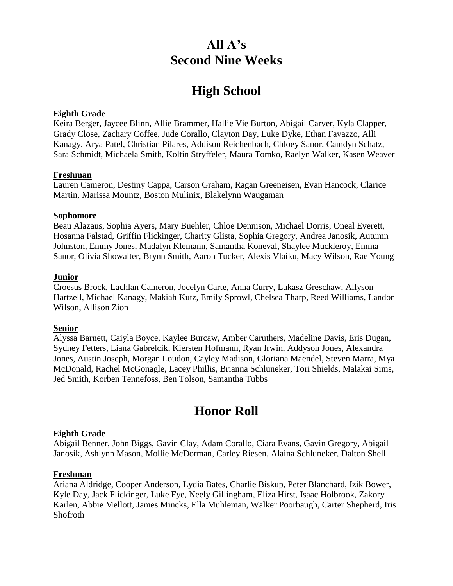# **All A's Second Nine Weeks**

## **High School**

#### **Eighth Grade**

Keira Berger, Jaycee Blinn, Allie Brammer, Hallie Vie Burton, Abigail Carver, Kyla Clapper, Grady Close, Zachary Coffee, Jude Corallo, Clayton Day, Luke Dyke, Ethan Favazzo, Alli Kanagy, Arya Patel, Christian Pilares, Addison Reichenbach, Chloey Sanor, Camdyn Schatz, Sara Schmidt, Michaela Smith, Koltin Stryffeler, Maura Tomko, Raelyn Walker, Kasen Weaver

#### **Freshman**

Lauren Cameron, Destiny Cappa, Carson Graham, Ragan Greeneisen, Evan Hancock, Clarice Martin, Marissa Mountz, Boston Mulinix, Blakelynn Waugaman

#### **Sophomore**

Beau Alazaus, Sophia Ayers, Mary Buehler, Chloe Dennison, Michael Dorris, Oneal Everett, Hosanna Falstad, Griffin Flickinger, Charity Glista, Sophia Gregory, Andrea Janosik, Autumn Johnston, Emmy Jones, Madalyn Klemann, Samantha Koneval, Shaylee Muckleroy, Emma Sanor, Olivia Showalter, Brynn Smith, Aaron Tucker, Alexis Vlaiku, Macy Wilson, Rae Young

#### **Junior**

Croesus Brock, Lachlan Cameron, Jocelyn Carte, Anna Curry, Lukasz Greschaw, Allyson Hartzell, Michael Kanagy, Makiah Kutz, Emily Sprowl, Chelsea Tharp, Reed Williams, Landon Wilson, Allison Zion

#### **Senior**

Alyssa Barnett, Caiyla Boyce, Kaylee Burcaw, Amber Caruthers, Madeline Davis, Eris Dugan, Sydney Fetters, Liana Gabrelcik, Kiersten Hofmann, Ryan Irwin, Addyson Jones, Alexandra Jones, Austin Joseph, Morgan Loudon, Cayley Madison, Gloriana Maendel, Steven Marra, Mya McDonald, Rachel McGonagle, Lacey Phillis, Brianna Schluneker, Tori Shields, Malakai Sims, Jed Smith, Korben Tennefoss, Ben Tolson, Samantha Tubbs

## **Honor Roll**

#### **Eighth Grade**

Abigail Benner, John Biggs, Gavin Clay, Adam Corallo, Ciara Evans, Gavin Gregory, Abigail Janosik, Ashlynn Mason, Mollie McDorman, Carley Riesen, Alaina Schluneker, Dalton Shell

#### **Freshman**

Ariana Aldridge, Cooper Anderson, Lydia Bates, Charlie Biskup, Peter Blanchard, Izik Bower, Kyle Day, Jack Flickinger, Luke Fye, Neely Gillingham, Eliza Hirst, Isaac Holbrook, Zakory Karlen, Abbie Mellott, James Mincks, Ella Muhleman, Walker Poorbaugh, Carter Shepherd, Iris Shofroth